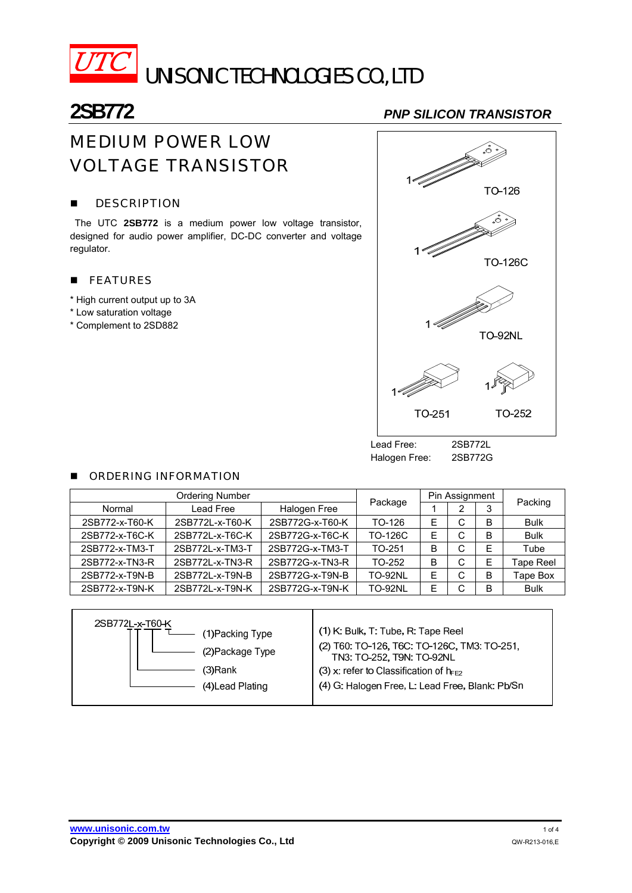

 $\overline{UTC}$  unisonic technologies co., LTD

**2SB772** *PNP SILICON TRANSISTOR*

# MEDIUM POWER LOW VOLTAGE TRANSISTOR

#### **DESCRIPTION**

The UTC **2SB772** is a medium power low voltage transistor, designed for audio power amplifier, DC-DC converter and voltage regulator.

#### **FEATURES**

- \* High current output up to 3A
- \* Low saturation voltage
- \* Complement to 2SD882



Halogen Free: 2SB772G

#### **E** ORDERING INFORMATION

| <b>Ordering Number</b> |                 |                 | Package        | Pin Assignment |        |   | Packing     |
|------------------------|-----------------|-----------------|----------------|----------------|--------|---|-------------|
| Normal                 | Lead Free       | Halogen Free    |                |                |        | 3 |             |
| 2SB772-x-T60-K         | 2SB772L-x-T60-K | 2SB772G-x-T60-K | $TO-126$       | E              | ⌒      | B | <b>Bulk</b> |
| 2SB772-x-T6C-K         | 2SB772L-x-T6C-K | 2SB772G-x-T6C-K | TO-126C        | E              | С      | в | <b>Bulk</b> |
| 2SB772-x-TM3-T         | 2SB772L-x-TM3-T | 2SB772G-x-TM3-T | TO-251         | B              | ⌒      | E | Tube        |
| 2SB772-x-TN3-R         | 2SB772L-x-TN3-R | 2SB772G-x-TN3-R | $TO-252$       | B              | ⌒<br>U |   | Tape Reel   |
| 2SB772-x-T9N-B         | 2SB772L-x-T9N-B | 2SB772G-x-T9N-B | <b>TO-92NL</b> | E              | ⌒      | в | Tape Box    |
| 2SB772-x-T9N-K         | 2SB772L-x-T9N-K | 2SB772G-x-T9N-K | <b>TO-92NL</b> | Е              |        | в | <b>Bulk</b> |

| 2SB772L-x-T60-K | (1)Packing Type<br>(2) Package Type<br>(3)Rank<br>(4) Lead Plating | (1) K: Bulk, T: Tube, R: Tape Reel<br>(2) T60: TO-126, T6C: TO-126C, TM3: TO-251,<br>TN3: TO-252, T9N: TO-92NL<br>(3) x: refer to Classification of $h_{FE2}$<br>(4) G. Halogen Free, L. Lead Free, Blank: Pb/Sn |
|-----------------|--------------------------------------------------------------------|------------------------------------------------------------------------------------------------------------------------------------------------------------------------------------------------------------------|
|                 |                                                                    |                                                                                                                                                                                                                  |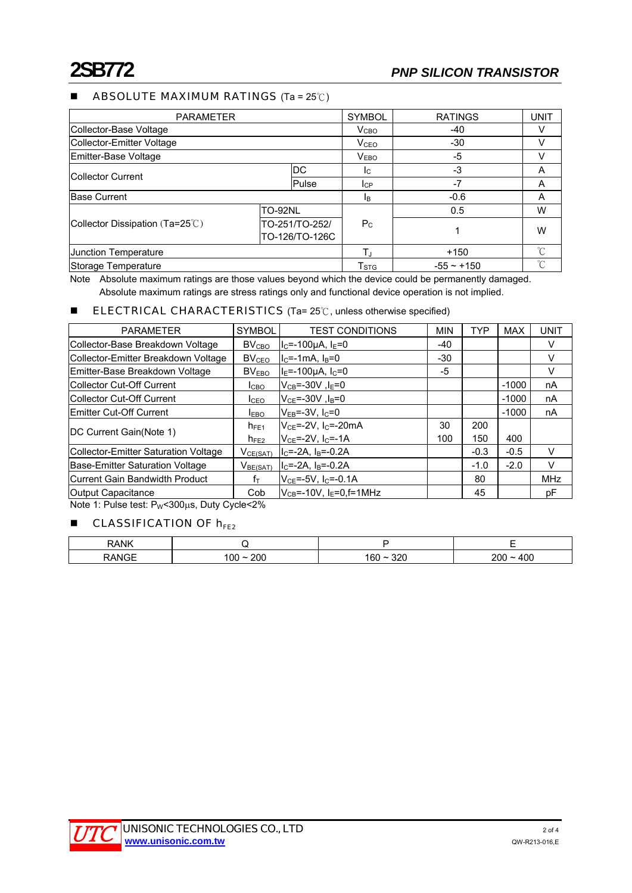#### ■ ABSOLUTE MAXIMUM RATINGS (Ta = 25℃)

| <b>PARAMETER</b>                         |                                  |       | SYMBOL                    | <b>RATINGS</b>  | <b>UNIT</b> |
|------------------------------------------|----------------------------------|-------|---------------------------|-----------------|-------------|
| Collector-Base Voltage                   |                                  |       | V <sub>CHO</sub>          | -40             | V           |
| <b>Collector-Emitter Voltage</b>         |                                  |       | V <sub>CEO</sub>          | $-30$           |             |
| Emitter-Base Voltage                     |                                  |       | V <sub>EBO</sub>          | -5              |             |
| <b>ICollector Current</b>                |                                  | DC.   | Ic.                       | -3              | A           |
|                                          |                                  | Pulse | <b>I</b> CP               | $-7$            | A           |
| <b>Base Current</b>                      |                                  |       | <b>l</b> B                | $-0.6$          | A           |
|                                          | <b>TO-92NL</b>                   |       | $P_{\rm C}$               | 0.5             | W           |
| Collector Dissipation $(Ta=25^{\circ}C)$ | TO-251/TO-252/<br>TO-126/TO-126C |       |                           |                 | W           |
| Junction Temperature                     |                                  |       | T.                        | $+150$          | °C          |
| Storage Temperature                      |                                  |       | $\mathsf{T}_{\text{STG}}$ | $-55 \sim +150$ |             |

Note Absolute maximum ratings are those values beyond which the device could be permanently damaged. Absolute maximum ratings are stress ratings only and functional device operation is not implied.

#### ■ ELECTRICAL CHARACTERISTICS (Ta= 25℃, unless otherwise specified)

| <b>PARAMETER</b>                     | <b>SYMBOL</b>     | <b>TEST CONDITIONS</b>                                  | <b>MIN</b> | <b>TYP</b> | <b>MAX</b> | UNIT       |
|--------------------------------------|-------------------|---------------------------------------------------------|------------|------------|------------|------------|
| Collector-Base Breakdown Voltage     | BV <sub>CBO</sub> | $\mathsf{I}_{\mathsf{C}}$ =-100µA, I $_{\mathsf{E}}$ =0 | $-40$      |            |            | V          |
| Collector-Emitter Breakdown Voltage  | BV <sub>CEO</sub> | $IC=-1mA, IB=0$                                         | $-30$      |            |            | V          |
| Emitter-Base Breakdown Voltage       | BV <sub>FRO</sub> | $I_F = -100 \mu A$ , $I_C = 0$                          | -5         |            |            | V          |
| Collector Cut-Off Current            | I <sub>CBO</sub>  | $V_{CB}$ =-30V, l <sub>F</sub> =0                       |            |            | $-1000$    | nA         |
| Collector Cut-Off Current            | I <sub>CEO</sub>  | $V_{CF}$ =-30V, $I_B$ =0                                |            |            | $-1000$    | nA         |
| lEmitter Cut-Off Current             | <b>LEBO</b>       | $V_{EB}$ =-3V, I <sub>C</sub> =0                        |            |            | $-1000$    | nA         |
| DC Current Gain(Note 1)              | $h_{FE1}$         | $V_{CF} = -2V$ . I <sub>C</sub> =-20mA                  | 30         | 200        |            |            |
|                                      | $h_{FE2}$         | $V_{CF} = -2V$ , $I_C = -1A$                            | 100        | 150        | 400        |            |
| Collector-Emitter Saturation Voltage | $V_{CE(SAT)}$     | $IC=-2A$ , $IB=-0.2A$                                   |            | $-0.3$     | $-0.5$     | V          |
| Base-Emitter Saturation Voltage      | $V_{BE(SAT)}$     | $I_C = -2A$ , $I_B = -0.2A$                             |            | $-1.0$     | $-2.0$     | V          |
| Current Gain Bandwidth Product       | fт                | $V_{CF} = -5V$ , $I_C = -0.1A$                          |            | 80         |            | <b>MHz</b> |
| Output Capacitance                   | Cob               | $V_{CB}$ =-10V, $I_F$ =0,f=1MHz                         |            | 45         |            | рF         |

Note 1: Pulse test: PW<300μs, Duty Cycle<2%

### $\blacksquare$  CLASSIFICATION OF  $h_{FE2}$

| RANK              |                                   |           | $\overline{\phantom{0}}$<br>- |
|-------------------|-----------------------------------|-----------|-------------------------------|
| <b>TVIGE</b><br>n | 200<br>$\sim$ $\sim$ $\sim$<br>ŰÜ | מפפ<br>'n | ∩∩<br>nn                      |

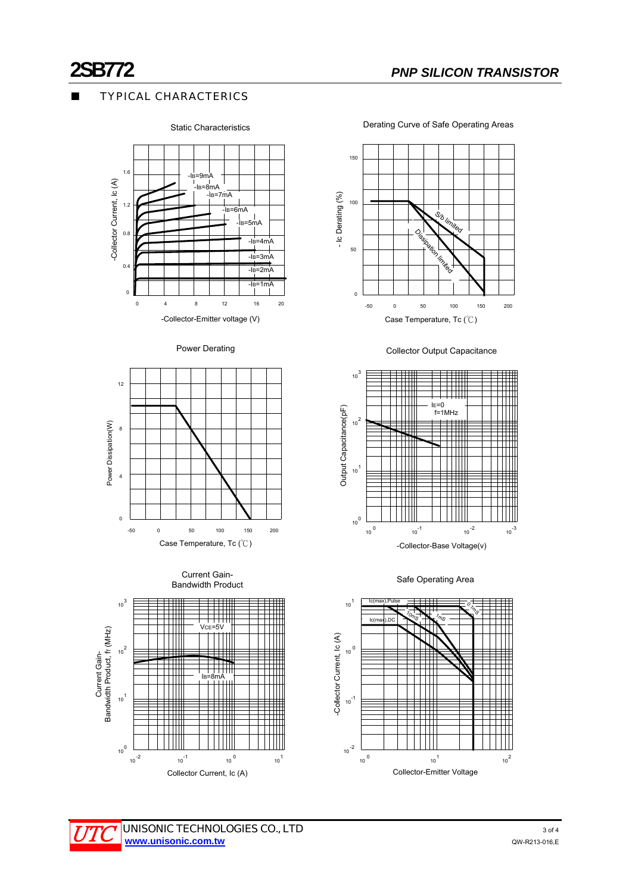## **TYPICAL CHARACTERICS**



#### Static Characteristics

Derating Curve of Safe Operating Areas



Power Derating